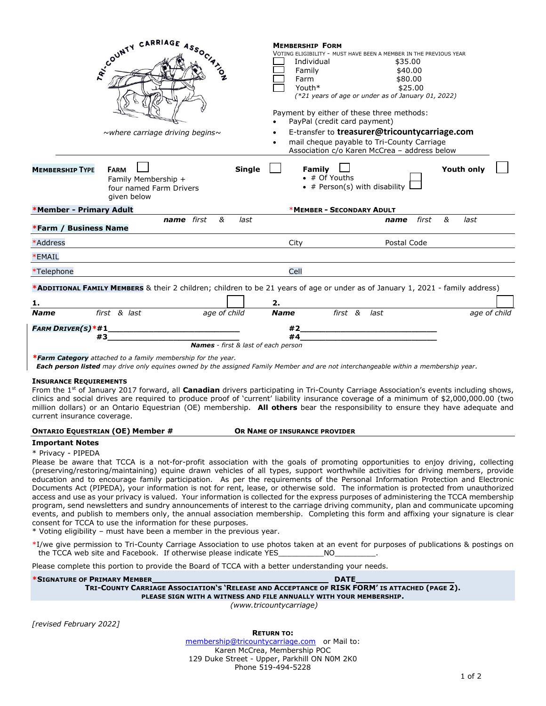|                                                              | RECOUNTY CARRIAGE ASSOCIATION<br>$\sim$ where carriage driving begins $\sim$                                                                                                                                                                                                                                                                                                                                                        | <b>MEMBERSHIP FORM</b><br>VOTING ELIGIBILITY - MUST HAVE BEEN A MEMBER IN THE PREVIOUS YEAR<br>Individual<br>\$35.00<br>\$40.00<br>Family<br>\$80.00<br>Farm<br>\$25.00<br>Youth*<br>$(*21$ years of age or under as of January 01, 2022)<br>Payment by either of these three methods:<br>PayPal (credit card payment)<br>E-transfer to treasurer@tricountycarriage.com<br>mail cheque payable to Tri-County Carriage<br>$\bullet$<br>Association c/o Karen McCrea - address below |                    |
|--------------------------------------------------------------|-------------------------------------------------------------------------------------------------------------------------------------------------------------------------------------------------------------------------------------------------------------------------------------------------------------------------------------------------------------------------------------------------------------------------------------|------------------------------------------------------------------------------------------------------------------------------------------------------------------------------------------------------------------------------------------------------------------------------------------------------------------------------------------------------------------------------------------------------------------------------------------------------------------------------------|--------------------|
| <b>MEMBERSHIP TYPE</b>                                       | Single<br><b>FARM</b><br>Family Membership +<br>four named Farm Drivers<br>given below                                                                                                                                                                                                                                                                                                                                              | Family<br>$\bullet$ # Of Youths<br>$\bullet$ # Person(s) with disability                                                                                                                                                                                                                                                                                                                                                                                                           | <b>Youth only</b>  |
| *Member - Primary Adult                                      |                                                                                                                                                                                                                                                                                                                                                                                                                                     | *MEMBER - SECONDARY ADULT                                                                                                                                                                                                                                                                                                                                                                                                                                                          |                    |
| *Farm / Business Name                                        | name first<br>&<br>last                                                                                                                                                                                                                                                                                                                                                                                                             | name                                                                                                                                                                                                                                                                                                                                                                                                                                                                               | &<br>first<br>last |
| *Address                                                     |                                                                                                                                                                                                                                                                                                                                                                                                                                     | Postal Code<br>City                                                                                                                                                                                                                                                                                                                                                                                                                                                                |                    |
| *EMAIL                                                       |                                                                                                                                                                                                                                                                                                                                                                                                                                     |                                                                                                                                                                                                                                                                                                                                                                                                                                                                                    |                    |
| *Telephone                                                   |                                                                                                                                                                                                                                                                                                                                                                                                                                     | Cell                                                                                                                                                                                                                                                                                                                                                                                                                                                                               |                    |
|                                                              | *ADDITIONAL FAMILY MEMBERS & their 2 children; children to be 21 years of age or under as of January 1, 2021 - family address)                                                                                                                                                                                                                                                                                                      |                                                                                                                                                                                                                                                                                                                                                                                                                                                                                    |                    |
| 1.                                                           |                                                                                                                                                                                                                                                                                                                                                                                                                                     | 2.                                                                                                                                                                                                                                                                                                                                                                                                                                                                                 |                    |
| <b>Name</b>                                                  | first & last<br>age of child                                                                                                                                                                                                                                                                                                                                                                                                        | <b>Name</b><br>first &<br>last                                                                                                                                                                                                                                                                                                                                                                                                                                                     | age of child       |
| <b>FARM DRIVER(S)*#1_</b>                                    | #3<br><b>Names</b> - first & last of each person                                                                                                                                                                                                                                                                                                                                                                                    | #2<br><u> 1989 - Johann Barbara, martin amerikan basar da</u><br>#4                                                                                                                                                                                                                                                                                                                                                                                                                |                    |
|                                                              | <b>*Farm Category</b> attached to a family membership for the year.<br>Each person listed may drive only equines owned by the assigned Family Member and are not interchangeable within a membership year.                                                                                                                                                                                                                          |                                                                                                                                                                                                                                                                                                                                                                                                                                                                                    |                    |
| <b>INSURANCE REQUIREMENTS</b><br>current insurance coverage. | From the 1 <sup>st</sup> of January 2017 forward, all <b>Canadian</b> drivers participating in Tri-County Carriage Association's events including shows,<br>clinics and social drives are required to produce proof of 'current' liability insurance coverage of a minimum of \$2,000,000.00 (two<br>million dollars) or an Ontario Equestrian (OE) membership. All others bear the responsibility to ensure they have adequate and |                                                                                                                                                                                                                                                                                                                                                                                                                                                                                    |                    |

## **ONTARIO EQUESTRIAN (OE) Member # OR NAME OF INSURANCE PROVIDER**

## **Important Notes** \* Privacy - PIPEDA

Please be aware that TCCA is a not-for-profit association with the goals of promoting opportunities to enjoy driving, collecting (preserving/restoring/maintaining) equine drawn vehicles of all types, support worthwhile activities for driving members, provide education and to encourage family participation. As per the requirements of the Personal Information Protection and Electronic Documents Act (PIPEDA), your information is not for rent, lease, or otherwise sold. The information is protected from unauthorized access and use as your privacy is valued. Your information is collected for the express purposes of administering the TCCA membership program, send newsletters and sundry announcements of interest to the carriage driving community, plan and communicate upcoming events, and publish to members only, the annual association membership. Completing this form and affixing your signature is clear consent for TCCA to use the information for these purposes.

\* Voting eligibility – must have been a member in the previous year.

\*I/we give permission to Tri-County Carriage Association to use photos taken at an event for purposes of publications & postings on the TCCA web site and Facebook. If otherwise please indicate YES NO

Please complete this portion to provide the Board of TCCA with a better understanding your needs.

**\*SIGNATURE OF PRIMARY MEMBER DATE \_** TRI-COUNTY CARRIAGE ASSOCIATION'S 'RELEASE AND ACCEPTANCE OF RISK FORM' IS ATTACHED (PAGE 2). **PLEASE SIGN WITH A WITNESS AND FILE ANNUALLY WITH YOUR MEMBERSHIP.**  *(www.tricountycarriage)*

*[revised February 2022]*

**RETURN TO:**

[membership@tricountycarriage.com](mailto:membership@tricountycarriage.com) or Mail to: Karen McCrea, Membership POC 129 Duke Street - Upper, Parkhill ON N0M 2K0 Phone 519-494-5228